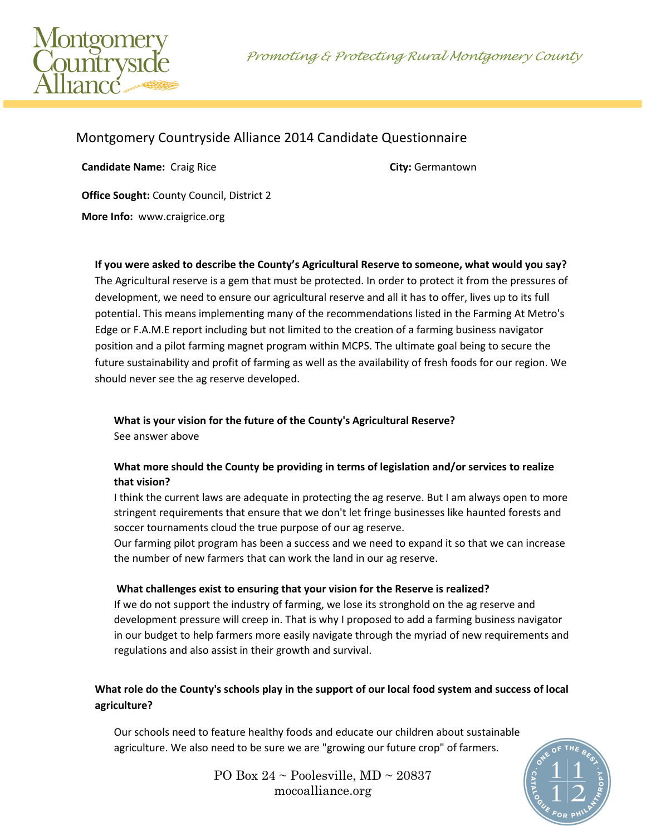Promoting & Protecting Rural Montgomery County



# Montgomery Countryside Alliance 2014 Candidate Questionnaire

**Candidate Name:** Craig Rice **City:** Germantown **Office Sought:** County Council, District 2

**More Info:** www.craigrice.org

**If you were asked to describe the County's Agricultural Reserve to someone, what would you say?**

The Agricultural reserve is a gem that must be protected. In order to protect it from the pressures of development, we need to ensure our agricultural reserve and all it has to offer, lives up to its full potential. This means implementing many of the recommendations listed in the Farming At Metro's Edge or F.A.M.E report including but not limited to the creation of a farming business navigator position and a pilot farming magnet program within MCPS. The ultimate goal being to secure the future sustainability and profit of farming as well as the availability of fresh foods for our region. We should never see the ag reserve developed.

### **What is your vision for the future of the County's Agricultural Reserve?**  See answer above

## **What more should the County be providing in terms of legislation and/or services to realize that vision?**

I think the current laws are adequate in protecting the ag reserve. But I am always open to more stringent requirements that ensure that we don't let fringe businesses like haunted forests and soccer tournaments cloud the true purpose of our ag reserve.

Our farming pilot program has been a success and we need to expand it so that we can increase the number of new farmers that can work the land in our ag reserve.

### **What challenges exist to ensuring that your vision for the Reserve is realized?**

If we do not support the industry of farming, we lose its stronghold on the ag reserve and development pressure will creep in. That is why I proposed to add a farming business navigator in our budget to help farmers more easily navigate through the myriad of new requirements and regulations and also assist in their growth and survival.

### **What role do the County's schools play in the support of our local food system and success of local agriculture?**

Our schools need to feature healthy foods and educate our children about sustainable agriculture. We also need to be sure we are "growing our future crop" of farmers.



PO Box  $24 \sim$  Poolesville, MD  $\sim$  20837 mocoalliance.org